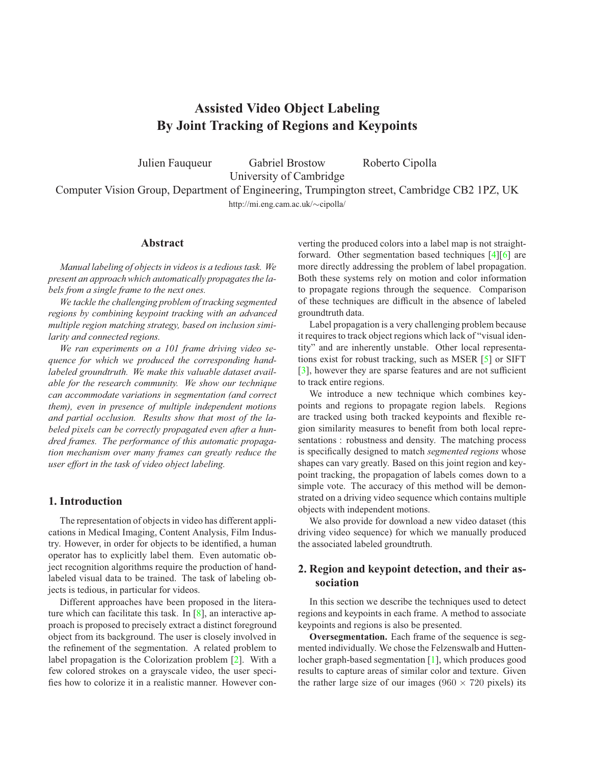# **Assisted Video Object Labeling By Joint Tracking of Regions and Keypoints**

Julien Fauqueur Gabriel Brostow Roberto Cipolla

University of Cambridge

Computer Vision Group, Department of Engineering, Trumpington street, Cambridge CB2 1PZ, UK http://mi.eng.cam.ac.uk/∼cipolla/

#### **Abstract**

*Manual labeling of objectsin videosis a tedioustask. We present an approach which automatically propagates the labels from a single frame to the next ones.*

*We tackle the challenging problem of tracking segmented regions by combining keypoint tracking with an advanced multiple region matching strategy, based on inclusion similarity and connected regions.*

*We ran experiments on a 101 frame driving video sequence for which we produced the corresponding handlabeled groundtruth. We make this valuable dataset available for the research community. We show our technique can accommodate variations in segmentation (and correct them), even in presence of multiple independent motions and partial occlusion. Results show that most of the labeled pixels can be correctly propagated even after a hundred frames. The performance of this automatic propagation mechanism over many frames can greatly reduce the user effort in the task of video object labeling.*

#### **1. Introduction**

The representation of objects in video has different applications in Medical Imaging, Content Analysis, Film Industry. However, in order for objects to be identified, a human operator has to explicitly label them. Even automatic object recognition algorithms require the production of handlabeled visual data to be trained. The task of labeling objects is tedious, in particular for videos.

Different approaches have been proposed in the literature which can facilitate this task. In  $[8]$ , an interactive approach is proposed to precisely extract a distinct foreground object from its background. The user is closely involved in the refinement of the segmentation. A related problem to label propagation is the Colorization problem [2]. With a few colored strokes on a grayscale video, the user specifies how to colorize it in a realistic manner. However converting the produced colors into a label map is not straightforward. Other segmentation based techniques [4][6] are more directly addressing the problem of label propagation. Both these systems rely on motion and color information to propagate regions through the sequence. Comparison of these techniques are difficult in the absence of labeled groundtruth data.

Label propagation is a very challenging problem because it requires to track object regions which lack of "visual identity" and are inherently unstable. Other local representations exist for robust tracking, such as MSER [5] or SIFT [3], however they are sparse features and are not sufficient to track entire regions.

We introduce a new technique which combines keypoints and regions to propagate region labels. Regions are tracked using both tracked keypoints and flexible region similarity measures to benefit from both local representations : robustness and density. The matching process is specifically designed to match *segmented regions* whose shapes can vary greatly. Based on this joint region and keypoint tracking, the propagation of labels comes down to a simple vote. The accuracy of this method will be demonstrated on a driving video sequence which contains multiple objects with independent motions.

We also provide for download a new video dataset (this driving video sequence) for which we manually produced the associated labeled groundtruth.

## **2. Region and keypoint detection, and their association**

In this section we describe the techniques used to detect regions and keypoints in each frame. A method to associate keypoints and regions is also be presented.

**Oversegmentation.** Each frame of the sequence is segmented individually. We chose the Felzenswalb and Huttenlocher graph-based segmentation [1], which produces good results to capture areas of similar color and texture. Given the rather large size of our images ( $960 \times 720$  pixels) its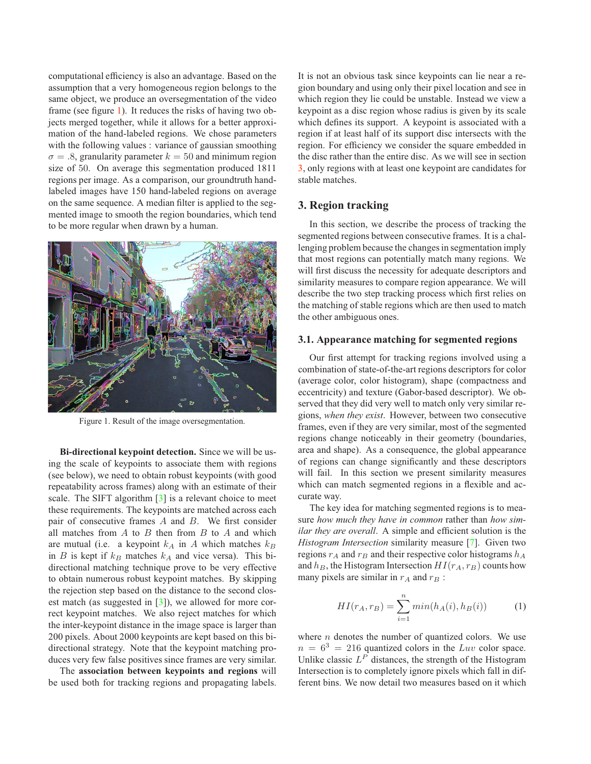computational efficiency is also an advantage. Based on the assumption that a very homogeneous region belongs to the same object, we produce an oversegmentation of the video frame (see figure 1). It reduces the risks of having two objects merged together, while it allows for a better approximation of the hand-labeled regions. We chose parameters with the following values : variance of gaussian smoothing  $\sigma = .8$ , granularity parameter  $k = 50$  and minimum region size of 50. On average this segmentation produced 1811 regions per image. As a comparison, our groundtruth handlabeled images have 150 hand-labeled regions on average on the same sequence. A median filter is applied to the segmented image to smooth the region boundaries, which tend to be more regular when drawn by a human.



Figure 1. Result of the image oversegmentation.

**Bi-directional keypoint detection.** Since we will be using the scale of keypoints to associate them with regions (see below), we need to obtain robust keypoints (with good repeatability across frames) along with an estimate of their scale. The SIFT algorithm [3] is a relevant choice to meet these requirements. The keypoints are matched across each pair of consecutive frames A and B. We first consider all matches from  $A$  to  $B$  then from  $B$  to  $A$  and which are mutual (i.e. a keypoint  $k_A$  in A which matches  $k_B$ in B is kept if  $k_B$  matches  $k_A$  and vice versa). This bidirectional matching technique prove to be very effective to obtain numerous robust keypoint matches. By skipping the rejection step based on the distance to the second closest match (as suggested in [3]), we allowed for more correct keypoint matches. We also reject matches for which the inter-keypoint distance in the image space is larger than 200 pixels. About 2000 keypoints are kept based on this bidirectional strategy. Note that the keypoint matching produces very few false positives since frames are very similar.

The **association between keypoints and regions** will be used both for tracking regions and propagating labels.

It is not an obvious task since keypoints can lie near a region boundary and using only their pixel location and see in which region they lie could be unstable. Instead we view a keypoint as a disc region whose radius is given by its scale which defines its support. A keypoint is associated with a region if at least half of its support disc intersects with the region. For efficiency we consider the square embedded in the disc rather than the entire disc. As we will see in section 3, only regions with at least one keypoint are candidates for stable matches.

#### **3. Region tracking**

In this section, we describe the process of tracking the segmented regions between consecutive frames. It is a challenging problem because the changes in segmentation imply that most regions can potentially match many regions. We will first discuss the necessity for adequate descriptors and similarity measures to compare region appearance. We will describe the two step tracking process which first relies on the matching of stable regions which are then used to match the other ambiguous ones.

#### **3.1. Appearance matching for segmented regions**

Our first attempt for tracking regions involved using a combination of state-of-the-art regions descriptors for color (average color, color histogram), shape (compactness and eccentricity) and texture (Gabor-based descriptor). We observed that they did very well to match only very similar regions, *when they exist*. However, between two consecutive frames, even if they are very similar, most of the segmented regions change noticeably in their geometry (boundaries, area and shape). As a consequence, the global appearance of regions can change significantly and these descriptors will fail. In this section we present similarity measures which can match segmented regions in a flexible and accurate way.

The key idea for matching segmented regions is to measure *how much they have in common* rather than *how similar they are overall*. A simple and efficient solution is the *Histogram Intersection* similarity measure [7]. Given two regions  $r_A$  and  $r_B$  and their respective color histograms  $h_A$ and  $h_B$ , the Histogram Intersection  $HI(r_A, r_B)$  counts how many pixels are similar in  $r_A$  and  $r_B$  :

$$
HI(r_A, r_B) = \sum_{i=1}^{n} \min(h_A(i), h_B(i))
$$
 (1)

where  $n$  denotes the number of quantized colors. We use  $n = 6<sup>3</sup> = 216$  quantized colors in the Luv color space. Unlike classic  $L^P$  distances, the strength of the Histogram Intersection is to completely ignore pixels which fall in different bins. We now detail two measures based on it which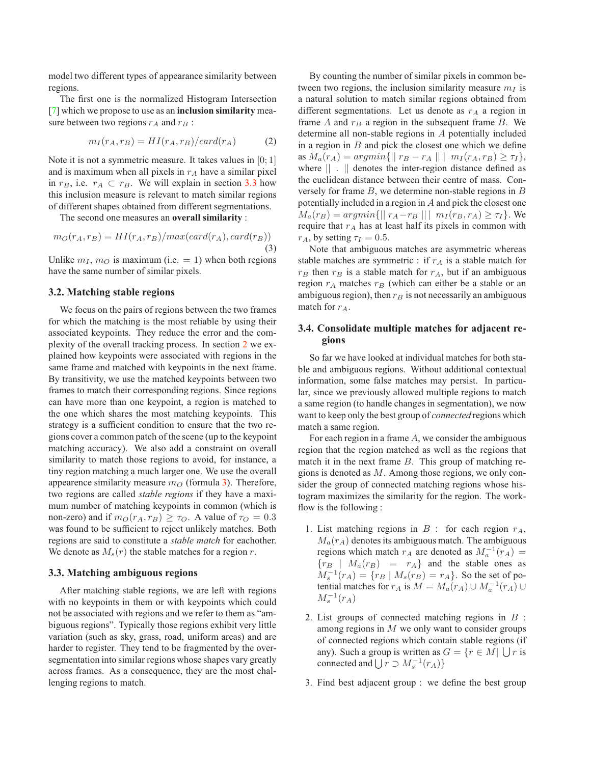model two different types of appearance similarity between regions.

The first one is the normalized Histogram Intersection [7] which we propose to use as an **inclusion similarity** measure between two regions  $r_A$  and  $r_B$  :

$$
m_I(r_A, r_B) = HI(r_A, r_B)/card(r_A)
$$
 (2)

Note it is not a symmetric measure. It takes values in [0; 1] and is maximum when all pixels in  $r_A$  have a similar pixel in  $r_B$ , i.e.  $r_A \,\subset r_B$ . We will explain in section 3.3 how this inclusion measure is relevant to match similar regions of different shapes obtained from different segmentations.

The second one measures an **overall similarity** :

$$
m_O(r_A, r_B) = HI(r_A, r_B) / max(card(r_A), card(r_B))
$$
\n(3)

Unlike  $m<sub>I</sub>$ ,  $m<sub>O</sub>$  is maximum (i.e. = 1) when both regions have the same number of similar pixels.

#### **3.2. Matching stable regions**

We focus on the pairs of regions between the two frames for which the matching is the most reliable by using their associated keypoints. They reduce the error and the complexity of the overall tracking process. In section 2 we explained how keypoints were associated with regions in the same frame and matched with keypoints in the next frame. By transitivity, we use the matched keypoints between two frames to match their corresponding regions. Since regions can have more than one keypoint, a region is matched to the one which shares the most matching keypoints. This strategy is a sufficient condition to ensure that the two regions cover a common patch of the scene (up to the keypoint matching accuracy). We also add a constraint on overall similarity to match those regions to avoid, for instance, a tiny region matching a much larger one. We use the overall appearence similarity measure  $m<sub>O</sub>$  (formula 3). Therefore, two regions are called *stable regions* if they have a maximum number of matching keypoints in common (which is non-zero) and if  $m_O(r_A, r_B) \geq \tau_O$ . A value of  $\tau_O = 0.3$ was found to be sufficient to reject unlikely matches. Both regions are said to constitute a *stable match* for eachother. We denote as  $M_s(r)$  the stable matches for a region r.

#### **3.3. Matching ambiguous regions**

After matching stable regions, we are left with regions with no keypoints in them or with keypoints which could not be associated with regions and we refer to them as "ambiguous regions". Typically those regions exhibit very little variation (such as sky, grass, road, uniform areas) and are harder to register. They tend to be fragmented by the oversegmentation into similar regions whose shapes vary greatly across frames. As a consequence, they are the most challenging regions to match.

By counting the number of similar pixels in common between two regions, the inclusion similarity measure  $m<sub>I</sub>$  is a natural solution to match similar regions obtained from different segmentations. Let us denote as  $r_A$  a region in frame A and  $r_B$  a region in the subsequent frame B. We determine all non-stable regions in A potentially included in a region in  $B$  and pick the closest one which we define as  $M_a(r_A) = argmin\{||r_B - r_A|| \mid m_I(r_A, r_B) \geq \tau_I\},\$ where  $|| \cdot ||$  denotes the inter-region distance defined as the euclidean distance between their centre of mass. Conversely for frame  $B$ , we determine non-stable regions in  $B$ potentially included in a region in A and pick the closest one  $M_a(r_B) = argmin\{||r_A - r_B|| \mid m_I(r_B, r_A) \geq \tau_I\}.$  We require that  $r_A$  has at least half its pixels in common with  $r_A$ , by setting  $\tau_I = 0.5$ .

Note that ambiguous matches are asymmetric whereas stable matches are symmetric : if  $r_A$  is a stable match for  $r_B$  then  $r_B$  is a stable match for  $r_A$ , but if an ambiguous region  $r_A$  matches  $r_B$  (which can either be a stable or an ambiguous region), then  $r_B$  is not necessarily an ambiguous match for  $r_A$ .

### **3.4. Consolidate multiple matches for adjacent regions**

So far we have looked at individual matches for both stable and ambiguous regions. Without additional contextual information, some false matches may persist. In particular, since we previously allowed multiple regions to match a same region (to handle changes in segmentation), we now want to keep only the best group of *connected* regions which match a same region.

For each region in a frame A, we consider the ambiguous region that the region matched as well as the regions that match it in the next frame  $B$ . This group of matching regions is denoted as M. Among those regions, we only consider the group of connected matching regions whose histogram maximizes the similarity for the region. The workflow is the following :

- 1. List matching regions in  $B$ : for each region  $r_A$ ,  $M_a(r_A)$  denotes its ambiguous match. The ambiguous regions which match  $r_A$  are denoted as  $M_a^{-1}(r_A)$  =  ${r_B \mid M_a(r_B) = r_A}$  and the stable ones as  $M_s^{-1}(r_A) = \{r_B \mid M_s(r_B) = r_A\}$ . So the set of potential matches for  $r_A$  is  $M = M_a(r_A) \cup M_a^{-1}(r_A) \cup$  $M_s^{-1}(r_A)$
- 2. List groups of connected matching regions in  $B$  : among regions in  $M$  we only want to consider groups of connected regions which contain stable regions (if any). Such a group is written as  $G = \{r \in M | \bigcup r$  is connected and  $\bigcup r \supset M_s^{-1}(r_A)$
- 3. Find best adjacent group : we define the best group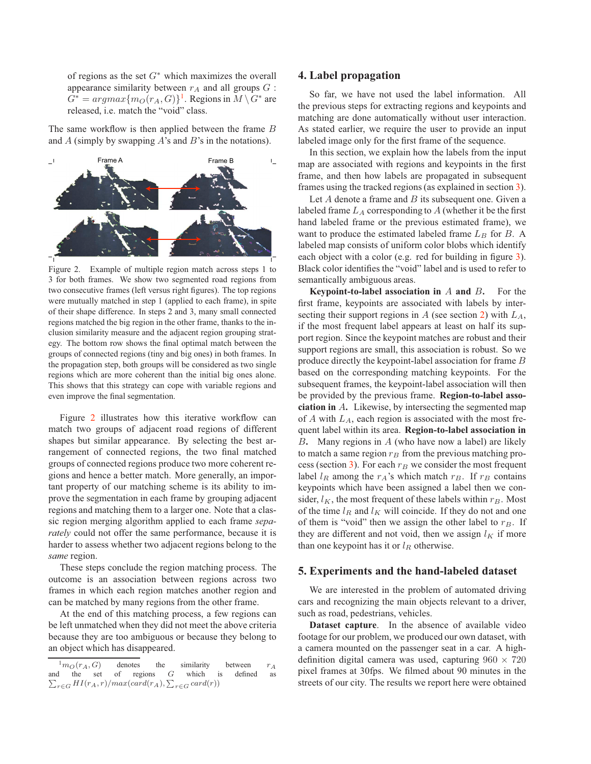of regions as the set  $G^*$  which maximizes the overall appearance similarity between  $r_A$  and all groups  $G$ :  $G^* = \text{argmax} \{ m_O(r_A, G) \}^1$ . Regions in  $M \setminus G^*$  are released, i.e. match the "void" class.

The same workflow is then applied between the frame B and  $A$  (simply by swapping  $A$ 's and  $B$ 's in the notations).



Figure 2. Example of multiple region match across steps 1 to 3 for both frames. We show two segmented road regions from two consecutive frames (left versus right figures). The top regions were mutually matched in step 1 (applied to each frame), in spite of their shape difference. In steps 2 and 3, many small connected regions matched the big region in the other frame, thanks to the inclusion similarity measure and the adjacent region grouping strategy. The bottom row shows the final optimal match between the groups of connected regions (tiny and big ones) in both frames. In the propagation step, both groups will be considered as two single regions which are more coherent than the initial big ones alone. This shows that this strategy can cope with variable regions and even improve the final segmentation.

Figure 2 illustrates how this iterative workflow can match two groups of adjacent road regions of different shapes but similar appearance. By selecting the best arrangement of connected regions, the two final matched groups of connected regions produce two more coherent regions and hence a better match. More generally, an important property of our matching scheme is its ability to improve the segmentation in each frame by grouping adjacent regions and matching them to a larger one. Note that a classic region merging algorithm applied to each frame *separately* could not offer the same performance, because it is harder to assess whether two adjacent regions belong to the *same* region.

These steps conclude the region matching process. The outcome is an association between regions across two frames in which each region matches another region and can be matched by many regions from the other frame.

At the end of this matching process, a few regions can be left unmatched when they did not meet the above criteria because they are too ambiguous or because they belong to an object which has disappeared.

#### **4. Label propagation**

So far, we have not used the label information. All the previous steps for extracting regions and keypoints and matching are done automatically without user interaction. As stated earlier, we require the user to provide an input labeled image only for the first frame of the sequence.

In this section, we explain how the labels from the input map are associated with regions and keypoints in the first frame, and then how labels are propagated in subsequent frames using the tracked regions(as explained in section 3).

Let  $A$  denote a frame and  $B$  its subsequent one. Given a labeled frame  $L_A$  corresponding to A (whether it be the first hand labeled frame or the previous estimated frame), we want to produce the estimated labeled frame  $L_B$  for B. A labeled map consists of uniform color blobs which identify each object with a color (e.g. red for building in figure 3). Black color identifies the "void" label and is used to refer to semantically ambiguous areas.

**Keypoint-to-label association in** A **and** B**.** For the first frame, keypoints are associated with labels by intersecting their support regions in A (see section 2) with  $L_A$ , if the most frequent label appears at least on half its support region. Since the keypoint matches are robust and their support regions are small, this association is robust. So we produce directly the keypoint-label association for frame B based on the corresponding matching keypoints. For the subsequent frames, the keypoint-label association will then be provided by the previous frame. **Region-to-label association in** A**.** Likewise, by intersecting the segmented map of A with  $L_A$ , each region is associated with the most frequent label within its area. **Region-to-label association in** B**.** Many regions in A (who have now a label) are likely to match a same region  $r_B$  from the previous matching process (section 3). For each  $r_B$  we consider the most frequent label  $l_R$  among the  $r_A$ 's which match  $r_B$ . If  $r_B$  contains keypoints which have been assigned a label then we consider,  $l_K$ , the most frequent of these labels within  $r_B$ . Most of the time  $l_R$  and  $l_K$  will coincide. If they do not and one of them is "void" then we assign the other label to  $r_B$ . If they are different and not void, then we assign  $l_K$  if more than one keypoint has it or  $l_R$  otherwise.

#### **5. Experiments and the hand-labeled dataset**

We are interested in the problem of automated driving cars and recognizing the main objects relevant to a driver, such as road, pedestrians, vehicles.

**Dataset capture**. In the absence of available video footage for our problem, we produced our own dataset, with a camera mounted on the passenger seat in a car. A highdefinition digital camera was used, capturing  $960 \times 720$ pixel frames at 30fps. We filmed about 90 minutes in the streets of our city. The results we report here were obtained

 $\frac{1}{1}m_Q(r_A, G)$  denotes the similarity between  $r_A$ <br>  $\frac{1}{1}$  the set of regions  $G$  which is defined as a and the set of regions  $G$  which is defined as  $\sum_{r \in G} HI(r_A, r) / max(card(r_A), \sum_{r \in G} card(r))$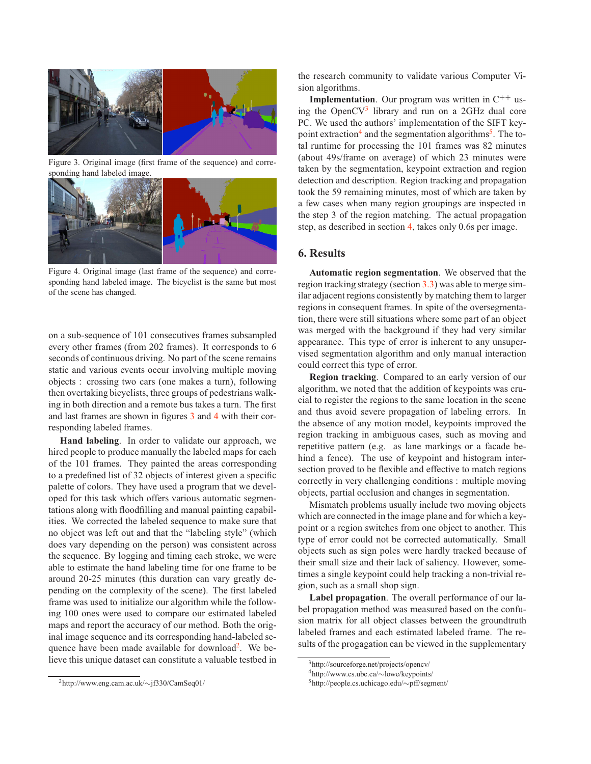

Figure 3. Original image (first frame of the sequence) and corresponding hand labeled image.



Figure 4. Original image (last frame of the sequence) and corresponding hand labeled image. The bicyclist is the same but most of the scene has changed.

on a sub-sequence of 101 consecutives frames subsampled every other frames (from 202 frames). It corresponds to 6 seconds of continuous driving. No part of the scene remains static and various events occur involving multiple moving objects : crossing two cars (one makes a turn), following then overtaking bicyclists, three groups of pedestrians walking in both direction and a remote bus takes a turn. The first and last frames are shown in figures 3 and 4 with their corresponding labeled frames.

**Hand labeling**. In order to validate our approach, we hired people to produce manually the labeled maps for each of the 101 frames. They painted the areas corresponding to a predefined list of 32 objects of interest given a specific palette of colors. They have used a program that we developed for this task which offers various automatic segmentations along with floodfilling and manual painting capabilities. We corrected the labeled sequence to make sure that no object was left out and that the "labeling style" (which does vary depending on the person) was consistent across the sequence. By logging and timing each stroke, we were able to estimate the hand labeling time for one frame to be around 20-25 minutes (this duration can vary greatly depending on the complexity of the scene). The first labeled frame was used to initialize our algorithm while the following 100 ones were used to compare our estimated labeled maps and report the accuracy of our method. Both the original image sequence and its corresponding hand-labeled sequence have been made available for download<sup>2</sup>. We believe this unique dataset can constitute a valuable testbed in

the research community to validate various Computer Vision algorithms.

**Implementation**. Our program was written in  $C^{++}$  using the OpenCV $3$  library and run on a 2GHz dual core PC. We used the authors' implementation of the SIFT keypoint extraction<sup>4</sup> and the segmentation algorithms<sup>5</sup>. The total runtime for processing the 101 frames was 82 minutes (about 49s/frame on average) of which 23 minutes were taken by the segmentation, keypoint extraction and region detection and description. Region tracking and propagation took the 59 remaining minutes, most of which are taken by a few cases when many region groupings are inspected in the step 3 of the region matching. The actual propagation step, as described in section 4, takes only 0.6s per image.

#### **6. Results**

**Automatic region segmentation**. We observed that the region tracking strategy (section 3.3) was able to merge similar adjacent regions consistently by matching them to larger regions in consequent frames. In spite of the oversegmentation, there were still situations where some part of an object was merged with the background if they had very similar appearance. This type of error is inherent to any unsupervised segmentation algorithm and only manual interaction could correct this type of error.

**Region tracking**. Compared to an early version of our algorithm, we noted that the addition of keypoints was crucial to register the regions to the same location in the scene and thus avoid severe propagation of labeling errors. In the absence of any motion model, keypoints improved the region tracking in ambiguous cases, such as moving and repetitive pattern (e.g. as lane markings or a facade behind a fence). The use of keypoint and histogram intersection proved to be flexible and effective to match regions correctly in very challenging conditions : multiple moving objects, partial occlusion and changes in segmentation.

Mismatch problems usually include two moving objects which are connected in the image plane and for which a keypoint or a region switches from one object to another. This type of error could not be corrected automatically. Small objects such as sign poles were hardly tracked because of their small size and their lack of saliency. However, sometimes a single keypoint could help tracking a non-trivial region, such as a small shop sign.

**Label propagation**. The overall performance of our label propagation method was measured based on the confusion matrix for all object classes between the groundtruth labeled frames and each estimated labeled frame. The results of the progagation can be viewed in the supplementary

<sup>2</sup>http://www.eng.cam.ac.uk/∼jf330/CamSeq01/

<sup>3</sup>http://sourceforge.net/projects/opencv/

<sup>4</sup>http://www.cs.ubc.ca/∼lowe/keypoints/ 5http://people.cs.uchicago.edu/∼pff/segment/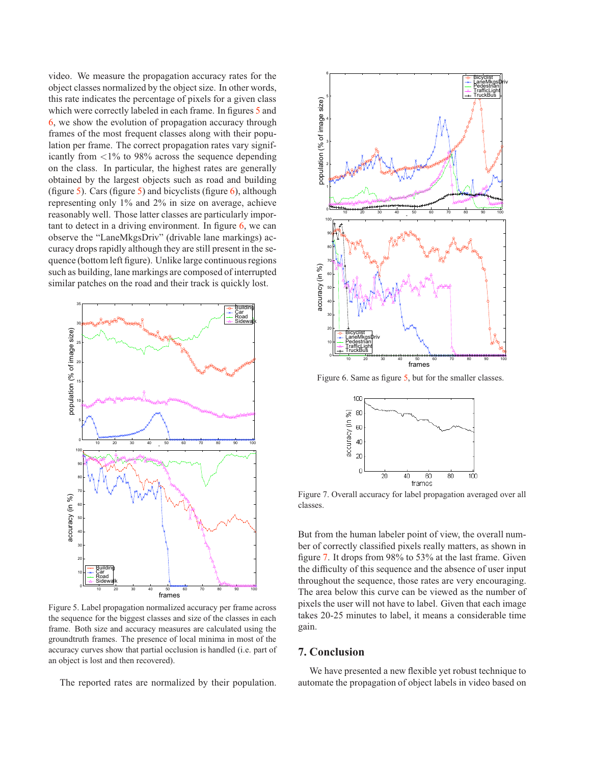video. We measure the propagation accuracy rates for the object classes normalized by the object size. In other words, this rate indicates the percentage of pixels for a given class which were correctly labeled in each frame. In figures 5 and 6, we show the evolution of propagation accuracy through frames of the most frequent classes along with their population per frame. The correct propagation rates vary significantly from <1% to 98% across the sequence depending on the class. In particular, the highest rates are generally obtained by the largest objects such as road and building (figure 5). Cars (figure 5) and bicyclists (figure 6), although representing only 1% and 2% in size on average, achieve reasonably well. Those latter classes are particularly important to detect in a driving environment. In figure 6, we can observe the "LaneMkgsDriv" (drivable lane markings) accuracy drops rapidly although they are still present in the sequence (bottom left figure). Unlike large continuous regions such as building, lane markings are composed of interrupted similar patches on the road and their track is quickly lost.



Figure 5. Label propagation normalized accuracy per frame across the sequence for the biggest classes and size of the classes in each frame. Both size and accuracy measures are calculated using the groundtruth frames. The presence of local minima in most of the accuracy curves show that partial occlusion is handled (i.e. part of an object is lost and then recovered).

The reported rates are normalized by their population.



Figure 6. Same as figure 5, but for the smaller classes.



Figure 7. Overall accuracy for label propagation averaged over all classes.

But from the human labeler point of view, the overall number of correctly classified pixels really matters, as shown in figure 7. It drops from 98% to 53% at the last frame. Given the difficulty of this sequence and the absence of user input throughout the sequence, those rates are very encouraging. The area below this curve can be viewed as the number of pixels the user will not have to label. Given that each image takes 20-25 minutes to label, it means a considerable time gain.

## **7. Conclusion**

We have presented a new flexible yet robust technique to automate the propagation of object labels in video based on